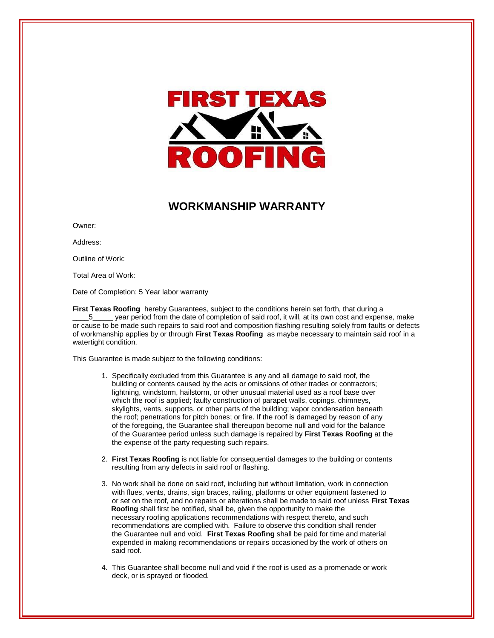

## **WORKMANSHIP WARRANTY**

Owner:

Address:

Outline of Work:

Total Area of Work:

Date of Completion: 5 Year labor warranty

**First Texas Roofing** hereby Guarantees, subject to the conditions herein set forth, that during a 5\_\_\_\_\_ year period from the date of completion of said roof, it will, at its own cost and expense, make or cause to be made such repairs to said roof and composition flashing resulting solely from faults or defects of workmanship applies by or through **First Texas Roofing** as maybe necessary to maintain said roof in a watertight condition.

This Guarantee is made subject to the following conditions:

- 1. Specifically excluded from this Guarantee is any and all damage to said roof, the building or contents caused by the acts or omissions of other trades or contractors; lightning, windstorm, hailstorm, or other unusual material used as a roof base over which the roof is applied; faulty construction of parapet walls, copings, chimneys, skylights, vents, supports, or other parts of the building; vapor condensation beneath the roof; penetrations for pitch bones; or fire. If the roof is damaged by reason of any of the foregoing, the Guarantee shall thereupon become null and void for the balance of the Guarantee period unless such damage is repaired by **First Texas Roofing** at the the expense of the party requesting such repairs.
- 2. **First Texas Roofing** is not liable for consequential damages to the building or contents resulting from any defects in said roof or flashing.
- 3. No work shall be done on said roof, including but without limitation, work in connection with flues, vents, drains, sign braces, railing, platforms or other equipment fastened to or set on the roof, and no repairs or alterations shall be made to said roof unless **First Texas Roofing** shall first be notified, shall be, given the opportunity to make the necessary roofing applications recommendations with respect thereto, and such recommendations are complied with. Failure to observe this condition shall render the Guarantee null and void. **First Texas Roofing** shall be paid for time and material expended in making recommendations or repairs occasioned by the work of others on said roof.
- 4. This Guarantee shall become null and void if the roof is used as a promenade or work deck, or is sprayed or flooded.